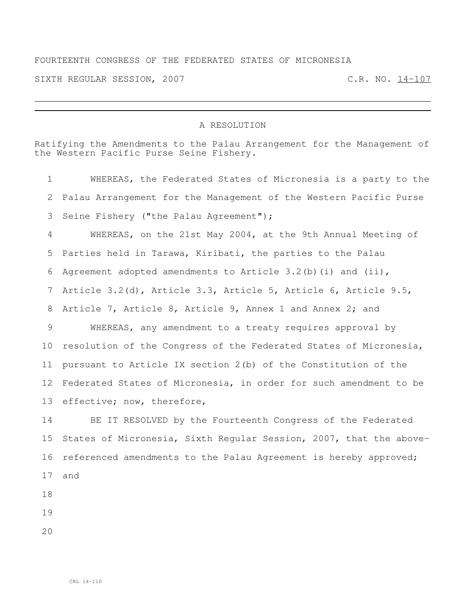## FOURTEENTH CONGRESS OF THE FEDERATED STATES OF MICRONESIA

SIXTH REGULAR SESSION, 2007 C.R. NO. 14-107

## A RESOLUTION

Ratifying the Amendments to the Palau Arrangement for the Management of the Western Pacific Purse Seine Fishery.

 WHEREAS, the Federated States of Micronesia is a party to the Palau Arrangement for the Management of the Western Pacific Purse Seine Fishery ("the Palau Agreement"); WHEREAS, on the 21st May 2004, at the 9th Annual Meeting of Parties held in Tarawa, Kiribati, the parties to the Palau Agreement adopted amendments to Article 3.2(b)(i) and (ii), Article 3.2(d), Article 3.3, Article 5, Article 6, Article 9.5, Article 7, Article 8, Article 9, Annex 1 and Annex 2; and WHEREAS, any amendment to a treaty requires approval by resolution of the Congress of the Federated States of Micronesia, pursuant to Article IX section 2(b) of the Constitution of the Federated States of Micronesia, in order for such amendment to be effective; now, therefore, BE IT RESOLVED by the Fourteenth Congress of the Federated

 States of Micronesia, Sixth Regular Session, 2007, that the above- referenced amendments to the Palau Agreement is hereby approved; and

- 
- 
-